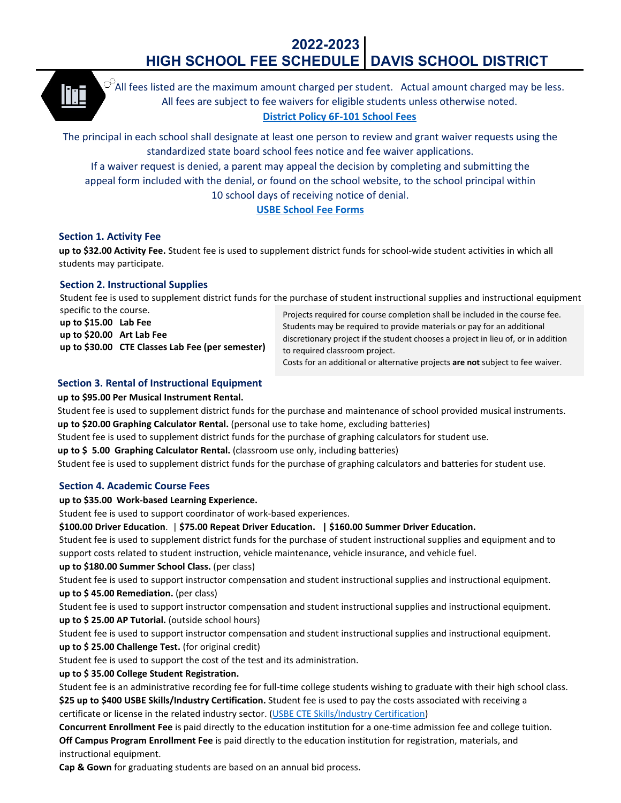# **2022-2023 HIGH SCHOOL FEE SCHEDULE DAVIS SCHOOL DISTRICT**



 $\heartsuit$ All fees listed are the maximum amount charged per student. Actual amount charged may be less. All fees are subject to fee waivers for eligible students unless otherwise noted. **[District Policy 6F-101 School Fees](https://resources.finalsite.net/images/v1586372167/davisk12utus/g9stazbe9fum0g3rfbhd/6F-101SchoolFeesFeeWaiversandProvisionsinLieuofaFee.pdf)**

The principal in each school shall designate at least one person to review and grant waiver requests using the standardized state board school fees notice and fee waiver applications. If a waiver request is denied, a parent may appeal the decision by completing and submitting the

appeal form included with the denial, or found on the school website, to the school principal within 10 school days of receiving notice of denial.

# **[USBE School Fee Forms](https://schools.utah.gov/schoolfees?mid=4340&tid=3)**

# **Section 1. Activity Fee**

**up to \$32.00 Activity Fee.** Student fee is used to supplement district funds for school-wide student activities in which all students may participate.

# **Section 2. Instructional Supplies**

Student fee is used to supplement district funds for the purchase of student instructional supplies and instructional equipment specific to the course.

**up to \$15.00 Lab Fee up to \$20.00 Art Lab Fee up to \$30.00 CTE Classes Lab Fee (per semester)** Projects required for course completion shall be included in the course fee. Students may be required to provide materials or pay for an additional discretionary project if the student chooses a project in lieu of, or in addition to required classroom project.

Costs for an additional or alternative projects **are not** subject to fee waiver.

# **Section 3. Rental of Instructional Equipment**

# **up to \$95.00 Per Musical Instrument Rental.**

Student fee is used to supplement district funds for the purchase and maintenance of school provided musical instruments. **up to \$20.00 Graphing Calculator Rental.** (personal use to take home, excluding batteries)

Student fee is used to supplement district funds for the purchase of graphing calculators for student use.

**up to \$ 5.00 Graphing Calculator Rental.** (classroom use only, including batteries)

Student fee is used to supplement district funds for the purchase of graphing calculators and batteries for student use.

# **Section 4. Academic Course Fees**

# **up to \$35.00 Work-based Learning Experience.**

Student fee is used to support coordinator of work-based experiences.

**\$100.00 Driver Education**. | **\$75.00 Repeat Driver Education. | \$160.00 Summer Driver Education.**

Student fee is used to supplement district funds for the purchase of student instructional supplies and equipment and to support costs related to student instruction, vehicle maintenance, vehicle insurance, and vehicle fuel.

# **up to \$180.00 Summer School Class.** (per class)

Student fee is used to support instructor compensation and student instructional supplies and instructional equipment.

**up to \$ 45.00 Remediation.** (per class)

Student fee is used to support instructor compensation and student instructional supplies and instructional equipment. **up to \$ 25.00 AP Tutorial.** (outside school hours)

Student fee is used to support instructor compensation and student instructional supplies and instructional equipment. **up to \$ 25.00 Challenge Test.** (for original credit)

Student fee is used to support the cost of the test and its administration.

# **up to \$ 35.00 College Student Registration.**

Student fee is an administrative recording fee for full-time college students wishing to graduate with their high school class. **\$25 up to \$400 USBE Skills/Industry Certification.** Student fee is used to pay the costs associated with receiving a certificate or license in the related industry sector. [\(USBE CTE Skills/Industry Certification\)](https://www.schools.utah.gov/cte/skillcertificate/alltests?mid=3237&aid=11)

**Concurrent Enrollment Fee** is paid directly to the education institution for a one-time admission fee and college tuition. **Off Campus Program Enrollment Fee** is paid directly to the education institution for registration, materials, and instructional equipment.

**Cap & Gown** for graduating students are based on an annual bid process.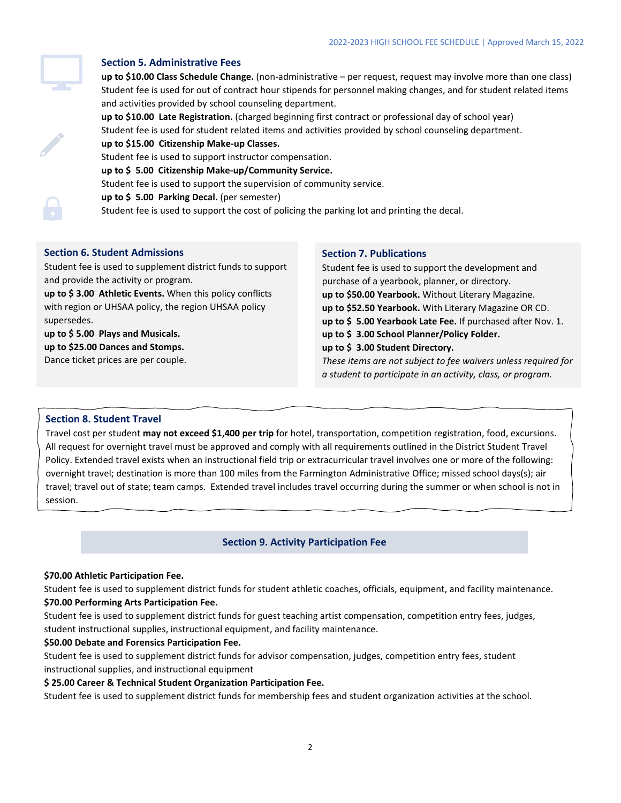

### **Section 5. Administrative Fees**

**up to \$10.00 Class Schedule Change.** (non-administrative – per request, request may involve more than one class) Student fee is used for out of contract hour stipends for personnel making changes, and for student related items and activities provided by school counseling department.

**up to \$10.00 Late Registration.** (charged beginning first contract or professional day of school year) Student fee is used for student related items and activities provided by school counseling department. **up to \$15.00 Citizenship Make-up Classes.**

Student fee is used to support instructor compensation.

**up to \$ 5.00 Citizenship Make-up/Community Service.**

Student fee is used to support the supervision of community service.

**up to \$ 5.00 Parking Decal.** (per semester)

Student fee is used to support the cost of policing the parking lot and printing the decal.

### **Section 6. Student Admissions**

Student fee is used to supplement district funds to support and provide the activity or program.

**up to \$ 3.00 Athletic Events.** When this policy conflicts with region or UHSAA policy, the region UHSAA policy supersedes.

**up to \$ 5.00 Plays and Musicals. up to \$25.00 Dances and Stomps.** Dance ticket prices are per couple.

#### **Section 7. Publications**

Student fee is used to support the development and purchase of a yearbook, planner, or directory. **up to \$50.00 Yearbook.** Without Literary Magazine. **up to \$52.50 Yearbook.** With Literary Magazine OR CD. **up to \$ 5.00 Yearbook Late Fee.** If purchased after Nov. 1. **up to \$ 3.00 School Planner/Policy Folder. up to \$ 3.00 Student Directory.** *These items are not subject to fee waivers unless required for a student to participate in an activity, class, or program.*

### **Section 8. Student Travel**

Travel cost per student **may not exceed \$1,400 per trip** for hotel, transportation, competition registration, food, excursions. All request for overnight travel must be approved and comply with all requirements outlined in the District Student Travel Policy. Extended travel exists when an instructional field trip or extracurricular travel involves one or more of the following: overnight travel; destination is more than 100 miles from the Farmington Administrative Office; missed school days(s); air travel; travel out of state; team camps. Extended travel includes travel occurring during the summer or when school is not in session.

### **Section 9. Activity Participation Fee**

#### **\$70.00 Athletic Participation Fee.**

Student fee is used to supplement district funds for student athletic coaches, officials, equipment, and facility maintenance. **\$70.00 Performing Arts Participation Fee.** 

Student fee is used to supplement district funds for guest teaching artist compensation, competition entry fees, judges, student instructional supplies, instructional equipment, and facility maintenance.

#### **\$50.00 Debate and Forensics Participation Fee.**

Student fee is used to supplement district funds for advisor compensation, judges, competition entry fees, student instructional supplies, and instructional equipment

#### **\$ 25.00 Career & Technical Student Organization Participation Fee.**

Student fee is used to supplement district funds for membership fees and student organization activities at the school.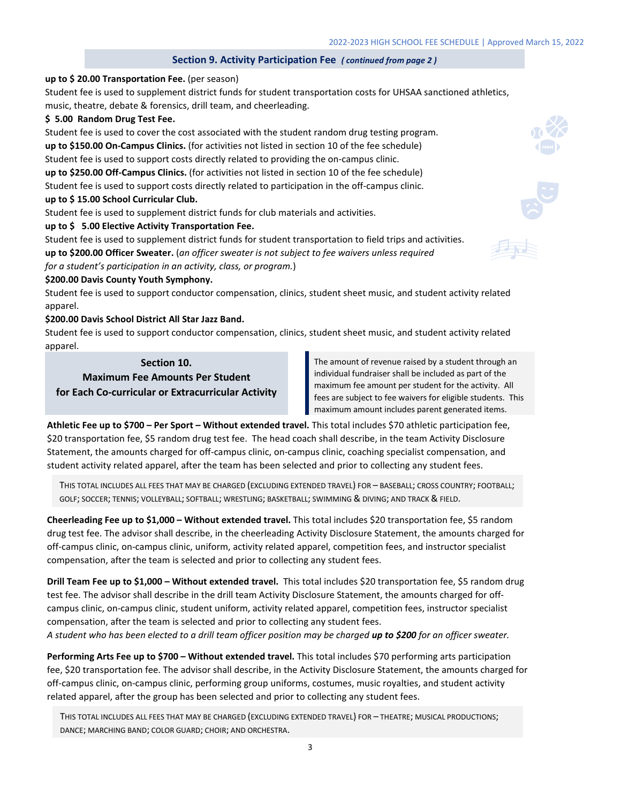## **Section 9. Activity Participation Fee** *( continued from page 2 )*

#### **up to \$ 20.00 Transportation Fee.** (per season)

Student fee is used to supplement district funds for student transportation costs for UHSAA sanctioned athletics, music, theatre, debate & forensics, drill team, and cheerleading.

#### **\$ 5.00 Random Drug Test Fee.**

Student fee is used to cover the cost associated with the student random drug testing program. **up to \$150.00 On-Campus Clinics.** (for activities not listed in section 10 of the fee schedule) Student fee is used to support costs directly related to providing the on-campus clinic. **up to \$250.00 Off-Campus Clinics.** (for activities not listed in section 10 of the fee schedule) Student fee is used to support costs directly related to participation in the off-campus clinic. **up to \$ 15.00 School Curricular Club.** 

Student fee is used to supplement district funds for club materials and activities.

#### **up to \$ 5.00 Elective Activity Transportation Fee.**

Student fee is used to supplement district funds for student transportation to field trips and activities. **up to \$200.00 Officer Sweater.** (*an officer sweater is not subject to fee waivers unless required*

*for a student's participation in an activity, class, or program.*)

#### **\$200.00 Davis County Youth Symphony.**

Student fee is used to support conductor compensation, clinics, student sheet music, and student activity related apparel.

#### **\$200.00 Davis School District All Star Jazz Band.**

Student fee is used to support conductor compensation, clinics, student sheet music, and student activity related apparel.

#### **Section 10.**

**Maximum Fee Amounts Per Student for Each Co-curricular or Extracurricular Activity** The amount of revenue raised by a student through an individual fundraiser shall be included as part of the maximum fee amount per student for the activity. All fees are subject to fee waivers for eligible students. This maximum amount includes parent generated items.

**Athletic Fee up to \$700 – Per Sport – Without extended travel.** This total includes \$70 athletic participation fee, \$20 transportation fee, \$5 random drug test fee. The head coach shall describe, in the team Activity Disclosure Statement, the amounts charged for off-campus clinic, on-campus clinic, coaching specialist compensation, and student activity related apparel, after the team has been selected and prior to collecting any student fees.

THIS TOTAL INCLUDES ALL FEES THAT MAY BE CHARGED (EXCLUDING EXTENDED TRAVEL) FOR – BASEBALL; CROSS COUNTRY; FOOTBALL; GOLF; SOCCER; TENNIS; VOLLEYBALL; SOFTBALL; WRESTLING; BASKETBALL; SWIMMING & DIVING; AND TRACK & FIELD.

**Cheerleading Fee up to \$1,000 – Without extended travel.** This total includes \$20 transportation fee, \$5 random drug test fee. The advisor shall describe, in the cheerleading Activity Disclosure Statement, the amounts charged for off-campus clinic, on-campus clinic, uniform, activity related apparel, competition fees, and instructor specialist compensation, after the team is selected and prior to collecting any student fees.

**Drill Team Fee up to \$1,000 – Without extended travel.** This total includes \$20 transportation fee, \$5 random drug test fee. The advisor shall describe in the drill team Activity Disclosure Statement, the amounts charged for offcampus clinic, on-campus clinic, student uniform, activity related apparel, competition fees, instructor specialist compensation, after the team is selected and prior to collecting any student fees.

*A student who has been elected to a drill team officer position may be charged up to \$200 for an officer sweater.*

Performing Arts Fee up to \$700 - Without extended travel. This total includes \$70 performing arts participation fee, \$20 transportation fee. The advisor shall describe, in the Activity Disclosure Statement, the amounts charged for off-campus clinic, on-campus clinic, performing group uniforms, costumes, music royalties, and student activity related apparel, after the group has been selected and prior to collecting any student fees.

THIS TOTAL INCLUDES ALL FEES THAT MAY BE CHARGED (EXCLUDING EXTENDED TRAVEL) FOR – THEATRE; MUSICAL PRODUCTIONS; DANCE; MARCHING BAND; COLOR GUARD; CHOIR; AND ORCHESTRA.





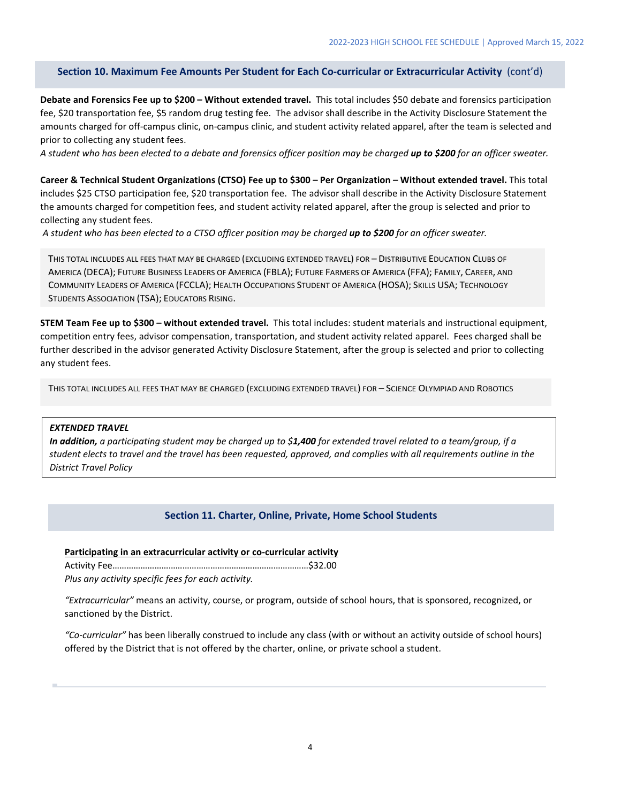### **Section 10. Maximum Fee Amounts Per Student for Each Co-curricular or Extracurricular Activity** (cont'd)

**Debate and Forensics Fee up to \$200 – Without extended travel.** This total includes \$50 debate and forensics participation fee, \$20 transportation fee, \$5 random drug testing fee. The advisor shall describe in the Activity Disclosure Statement the amounts charged for off-campus clinic, on-campus clinic, and student activity related apparel, after the team is selected and prior to collecting any student fees.

*A student who has been elected to a debate and forensics officer position may be charged up to \$200 for an officer sweater.*

**Career & Technical Student Organizations (CTSO) Fee up to \$300 – Per Organization – Without extended travel.** This total includes \$25 CTSO participation fee, \$20 transportation fee. The advisor shall describe in the Activity Disclosure Statement the amounts charged for competition fees, and student activity related apparel, after the group is selected and prior to collecting any student fees.

*A student who has been elected to a CTSO officer position may be charged up to \$200 for an officer sweater.*

THIS TOTAL INCLUDES ALL FEES THAT MAY BE CHARGED (EXCLUDING EXTENDED TRAVEL) FOR – DISTRIBUTIVE EDUCATION CLUBS OF AMERICA (DECA); FUTURE BUSINESS LEADERS OF AMERICA (FBLA); FUTURE FARMERS OF AMERICA (FFA); FAMILY, CAREER, AND COMMUNITY LEADERS OF AMERICA (FCCLA); HEALTH OCCUPATIONS STUDENT OF AMERICA (HOSA); SKILLS USA; TECHNOLOGY STUDENTS ASSOCIATION (TSA); EDUCATORS RISING.

**STEM Team Fee up to \$300 – without extended travel.** This total includes: student materials and instructional equipment, competition entry fees, advisor compensation, transportation, and student activity related apparel. Fees charged shall be further described in the advisor generated Activity Disclosure Statement, after the group is selected and prior to collecting any student fees.

THIS TOTAL INCLUDES ALL FEES THAT MAY BE CHARGED (EXCLUDING EXTENDED TRAVEL) FOR – SCIENCE OLYMPIAD AND ROBOTICS

### *EXTENDED TRAVEL*

*In addition, a participating student may be charged up to \$1,400 for extended travel related to a team/group, if a student elects to travel and the travel has been requested, approved, and complies with all requirements outline in the District Travel Policy*

# **Section 11. Charter, Online, Private, Home School Students**

### **Participating in an extracurricular activity or co-curricular activity**

Activity Fee…………………………………………………………………………\$32.00

*Plus any activity specific fees for each activity.*

*"Extracurricular"* means an activity, course, or program, outside of school hours, that is sponsored, recognized, or sanctioned by the District.

*"Co-curricular"* has been liberally construed to include any class (with or without an activity outside of school hours) offered by the District that is not offered by the charter, online, or private school a student.